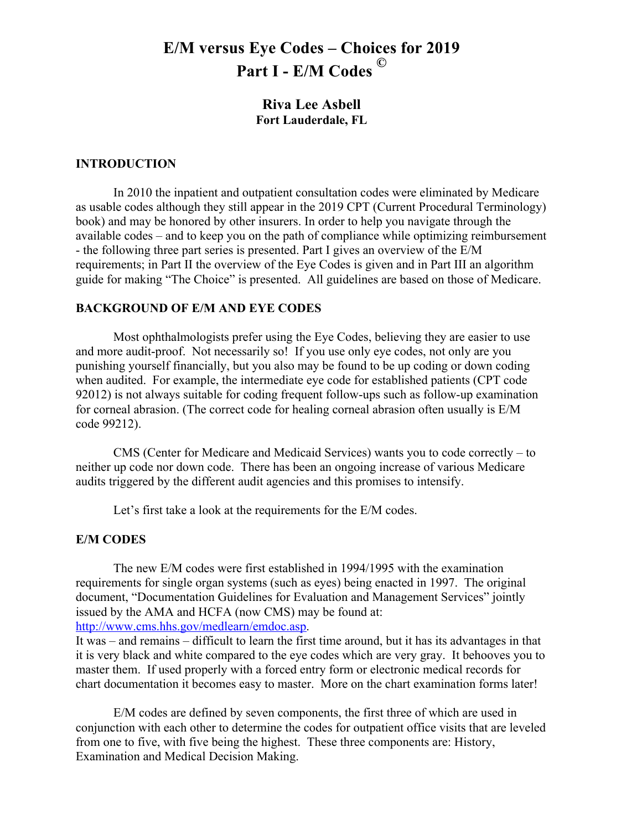# **E/M versus Eye Codes – Choices for 2019 Part I - E/M Codes ©**

## **Riva Lee Asbell Fort Lauderdale, FL**

### **INTRODUCTION**

In 2010 the inpatient and outpatient consultation codes were eliminated by Medicare as usable codes although they still appear in the 2019 CPT (Current Procedural Terminology) book) and may be honored by other insurers. In order to help you navigate through the available codes – and to keep you on the path of compliance while optimizing reimbursement - the following three part series is presented. Part I gives an overview of the E/M requirements; in Part II the overview of the Eye Codes is given and in Part III an algorithm guide for making "The Choice" is presented. All guidelines are based on those of Medicare.

## **BACKGROUND OF E/M AND EYE CODES**

Most ophthalmologists prefer using the Eye Codes, believing they are easier to use and more audit-proof. Not necessarily so! If you use only eye codes, not only are you punishing yourself financially, but you also may be found to be up coding or down coding when audited. For example, the intermediate eye code for established patients (CPT code 92012) is not always suitable for coding frequent follow-ups such as follow-up examination for corneal abrasion. (The correct code for healing corneal abrasion often usually is E/M code 99212).

CMS (Center for Medicare and Medicaid Services) wants you to code correctly – to neither up code nor down code. There has been an ongoing increase of various Medicare audits triggered by the different audit agencies and this promises to intensify.

Let's first take a look at the requirements for the E/M codes.

#### **E/M CODES**

The new E/M codes were first established in 1994/1995 with the examination requirements for single organ systems (such as eyes) being enacted in 1997. The original document, "Documentation Guidelines for Evaluation and Management Services" jointly issued by the AMA and HCFA (now CMS) may be found at: http://www.cms.hhs.gov/medlearn/emdoc.asp.

It was – and remains – difficult to learn the first time around, but it has its advantages in that it is very black and white compared to the eye codes which are very gray. It behooves you to master them. If used properly with a forced entry form or electronic medical records for chart documentation it becomes easy to master. More on the chart examination forms later!

E/M codes are defined by seven components, the first three of which are used in conjunction with each other to determine the codes for outpatient office visits that are leveled from one to five, with five being the highest. These three components are: History, Examination and Medical Decision Making.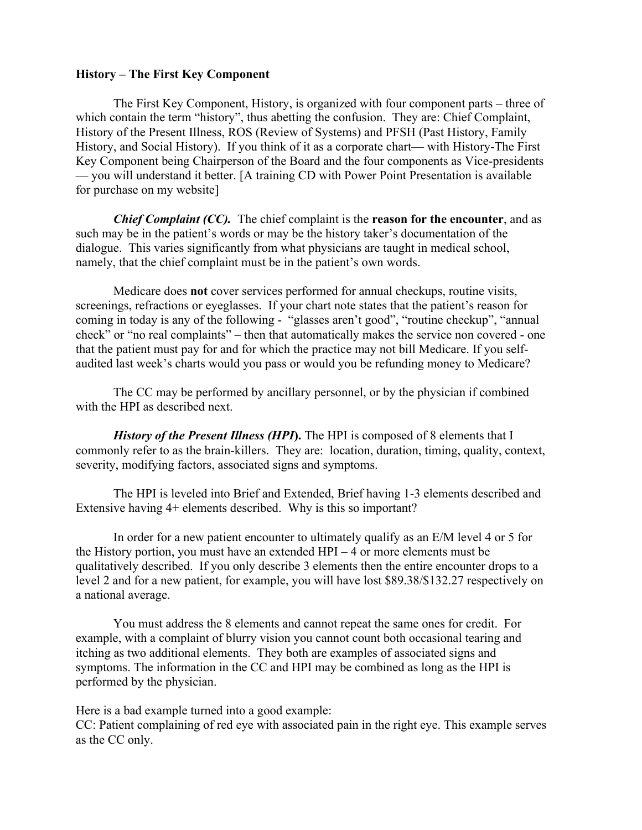### **History – The First Key Component**

The First Key Component, History, is organized with four component parts – three of which contain the term "history", thus abetting the confusion. They are: Chief Complaint, History of the Present Illness, ROS (Review of Systems) and PFSH (Past History, Family History, and Social History). If you think of it as a corporate chart— with History-The First Key Component being Chairperson of the Board and the four components as Vice-presidents — you will understand it better. [A training CD with Power Point Presentation is available for purchase on my website]

*Chief Complaint (CC).* The chief complaint is the **reason for the encounter**, and as such may be in the patient's words or may be the history taker's documentation of the dialogue. This varies significantly from what physicians are taught in medical school, namely, that the chief complaint must be in the patient's own words.

Medicare does **not** cover services performed for annual checkups, routine visits, screenings, refractions or eyeglasses. If your chart note states that the patient's reason for coming in today is any of the following - "glasses aren't good", "routine checkup", "annual check" or "no real complaints" – then that automatically makes the service non covered - one that the patient must pay for and for which the practice may not bill Medicare. If you selfaudited last week's charts would you pass or would you be refunding money to Medicare?

The CC may be performed by ancillary personnel, or by the physician if combined with the HPI as described next.

*History of the Present Illness (HPI)*. The HPI is composed of 8 elements that I commonly refer to as the brain-killers. They are: location, duration, timing, quality, context, severity, modifying factors, associated signs and symptoms.

The HPI is leveled into Brief and Extended, Brief having 1-3 elements described and Extensive having 4+ elements described. Why is this so important?

In order for a new patient encounter to ultimately qualify as an E/M level 4 or 5 for the History portion, you must have an extended  $HPI - 4$  or more elements must be qualitatively described. If you only describe 3 elements then the entire encounter drops to a level 2 and for a new patient, for example, you will have lost \$89.38/\$132.27 respectively on a national average.

You must address the 8 elements and cannot repeat the same ones for credit. For example, with a complaint of blurry vision you cannot count both occasional tearing and itching as two additional elements. They both are examples of associated signs and symptoms. The information in the CC and HPI may be combined as long as the HPI is performed by the physician.

Here is a bad example turned into a good example:

CC: Patient complaining of red eye with associated pain in the right eye. This example serves as the CC only.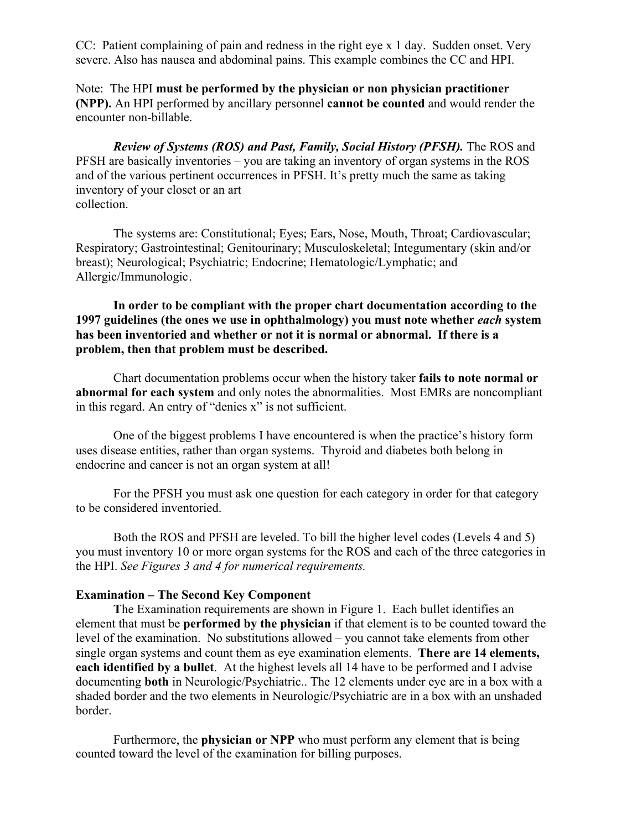CC: Patient complaining of pain and redness in the right eye x 1 day. Sudden onset. Very severe. Also has nausea and abdominal pains. This example combines the CC and HPI.

Note: The HPI **must be performed by the physician or non physician practitioner (NPP).** An HPI performed by ancillary personnel **cannot be counted** and would render the encounter non-billable.

*Review of Systems (ROS) and Past, Family, Social History (PFSH).* The ROS and PFSH are basically inventories – you are taking an inventory of organ systems in the ROS and of the various pertinent occurrences in PFSH. It's pretty much the same as taking inventory of your closet or an art collection.

The systems are: Constitutional; Eyes; Ears, Nose, Mouth, Throat; Cardiovascular; Respiratory; Gastrointestinal; Genitourinary; Musculoskeletal; Integumentary (skin and/or breast); Neurological; Psychiatric; Endocrine; Hematologic/Lymphatic; and Allergic/Immunologic.

**In order to be compliant with the proper chart documentation according to the 1997 guidelines (the ones we use in ophthalmology) you must note whether** *each* **system has been inventoried and whether or not it is normal or abnormal. If there is a problem, then that problem must be described.**

Chart documentation problems occur when the history taker **fails to note normal or abnormal for each system** and only notes the abnormalities. Most EMRs are noncompliant in this regard. An entry of "denies x" is not sufficient.

One of the biggest problems I have encountered is when the practice's history form uses disease entities, rather than organ systems. Thyroid and diabetes both belong in endocrine and cancer is not an organ system at all!

For the PFSH you must ask one question for each category in order for that category to be considered inventoried.

Both the ROS and PFSH are leveled. To bill the higher level codes (Levels 4 and 5) you must inventory 10 or more organ systems for the ROS and each of the three categories in the HPI. *See Figures 3 and 4 for numerical requirements.*

### **Examination – The Second Key Component**

**T**he Examination requirements are shown in Figure 1. Each bullet identifies an element that must be **performed by the physician** if that element is to be counted toward the level of the examination. No substitutions allowed – you cannot take elements from other single organ systems and count them as eye examination elements. **There are 14 elements, each identified by a bullet**. At the highest levels all 14 have to be performed and I advise documenting **both** in Neurologic/Psychiatric.. The 12 elements under eye are in a box with a shaded border and the two elements in Neurologic/Psychiatric are in a box with an unshaded border.

Furthermore, the **physician or NPP** who must perform any element that is being counted toward the level of the examination for billing purposes.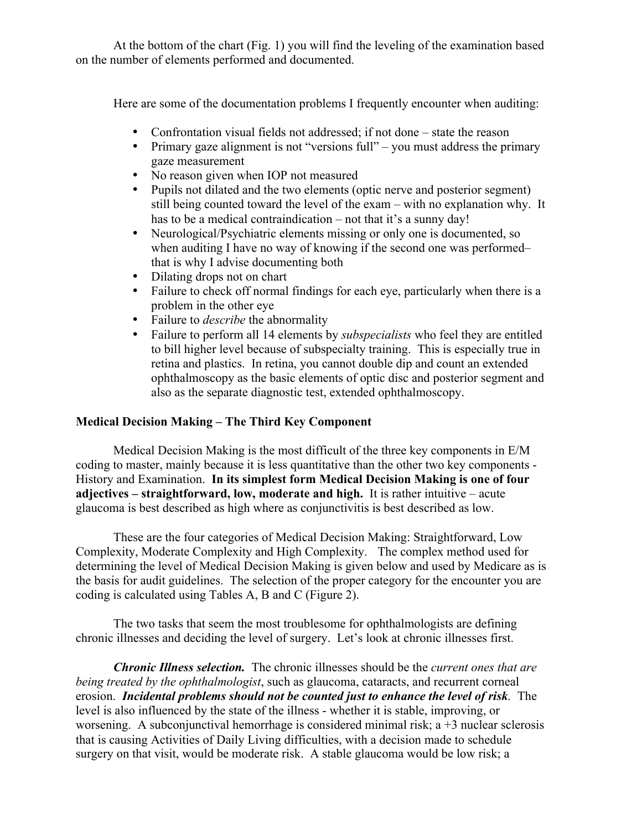At the bottom of the chart (Fig. 1) you will find the leveling of the examination based on the number of elements performed and documented.

Here are some of the documentation problems I frequently encounter when auditing:

- Confrontation visual fields not addressed; if not done state the reason
- Primary gaze alignment is not "versions full" you must address the primary gaze measurement
- No reason given when IOP not measured<br>• Punils not dilated and the two elements (o
- Pupils not dilated and the two elements (optic nerve and posterior segment) still being counted toward the level of the exam – with no explanation why. It has to be a medical contraindication – not that it's a sunny day!
- Neurological/Psychiatric elements missing or only one is documented, so when auditing I have no way of knowing if the second one was performed– that is why I advise documenting both
- Dilating drops not on chart
- Failure to check off normal findings for each eye, particularly when there is a problem in the other eye
- Failure to *describe* the abnormality<br>• Failure to perform all 14 elements b
- Failure to perform all 14 elements by *subspecialists* who feel they are entitled to bill higher level because of subspecialty training. This is especially true in retina and plastics. In retina, you cannot double dip and count an extended ophthalmoscopy as the basic elements of optic disc and posterior segment and also as the separate diagnostic test, extended ophthalmoscopy.

## **Medical Decision Making – The Third Key Component**

Medical Decision Making is the most difficult of the three key components in E/M coding to master, mainly because it is less quantitative than the other two key components - History and Examination. **In its simplest form Medical Decision Making is one of four adjectives – straightforward, low, moderate and high.** It is rather intuitive – acute glaucoma is best described as high where as conjunctivitis is best described as low.

These are the four categories of Medical Decision Making: Straightforward, Low Complexity, Moderate Complexity and High Complexity. The complex method used for determining the level of Medical Decision Making is given below and used by Medicare as is the basis for audit guidelines. The selection of the proper category for the encounter you are coding is calculated using Tables A, B and C (Figure 2).

The two tasks that seem the most troublesome for ophthalmologists are defining chronic illnesses and deciding the level of surgery. Let's look at chronic illnesses first.

*Chronic Illness selection.* The chronic illnesses should be the *current ones that are being treated by the ophthalmologist*, such as glaucoma, cataracts, and recurrent corneal erosion. *Incidental problems should not be counted just to enhance the level of risk.* The level is also influenced by the state of the illness - whether it is stable, improving, or worsening. A subconjunctival hemorrhage is considered minimal risk;  $a + 3$  nuclear sclerosis that is causing Activities of Daily Living difficulties, with a decision made to schedule surgery on that visit, would be moderate risk. A stable glaucoma would be low risk; a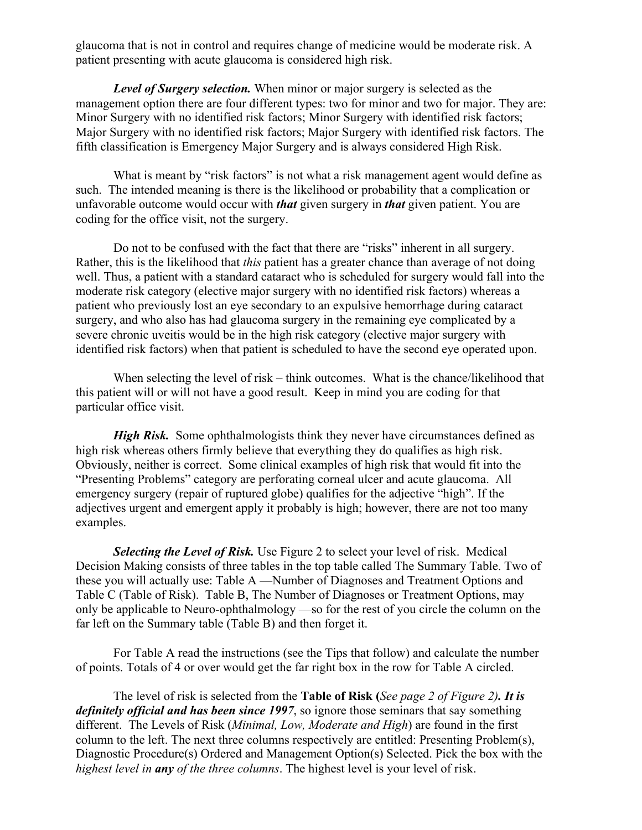glaucoma that is not in control and requires change of medicine would be moderate risk. A patient presenting with acute glaucoma is considered high risk.

*Level of Surgery selection.* When minor or major surgery is selected as the management option there are four different types: two for minor and two for major. They are: Minor Surgery with no identified risk factors; Minor Surgery with identified risk factors; Major Surgery with no identified risk factors; Major Surgery with identified risk factors. The fifth classification is Emergency Major Surgery and is always considered High Risk.

What is meant by "risk factors" is not what a risk management agent would define as such. The intended meaning is there is the likelihood or probability that a complication or unfavorable outcome would occur with *that* given surgery in *that* given patient. You are coding for the office visit, not the surgery.

Do not to be confused with the fact that there are "risks" inherent in all surgery. Rather, this is the likelihood that *this* patient has a greater chance than average of not doing well. Thus, a patient with a standard cataract who is scheduled for surgery would fall into the moderate risk category (elective major surgery with no identified risk factors) whereas a patient who previously lost an eye secondary to an expulsive hemorrhage during cataract surgery, and who also has had glaucoma surgery in the remaining eye complicated by a severe chronic uveitis would be in the high risk category (elective major surgery with identified risk factors) when that patient is scheduled to have the second eye operated upon.

When selecting the level of risk – think outcomes. What is the chance/likelihood that this patient will or will not have a good result. Keep in mind you are coding for that particular office visit.

*High Risk.* Some ophthalmologists think they never have circumstances defined as high risk whereas others firmly believe that everything they do qualifies as high risk. Obviously, neither is correct. Some clinical examples of high risk that would fit into the "Presenting Problems" category are perforating corneal ulcer and acute glaucoma. All emergency surgery (repair of ruptured globe) qualifies for the adjective "high". If the adjectives urgent and emergent apply it probably is high; however, there are not too many examples.

*Selecting the Level of Risk.* Use Figure 2 to select your level of risk. Medical Decision Making consists of three tables in the top table called The Summary Table. Two of these you will actually use: Table A —Number of Diagnoses and Treatment Options and Table C (Table of Risk). Table B, The Number of Diagnoses or Treatment Options, may only be applicable to Neuro-ophthalmology —so for the rest of you circle the column on the far left on the Summary table (Table B) and then forget it.

For Table A read the instructions (see the Tips that follow) and calculate the number of points. Totals of 4 or over would get the far right box in the row for Table A circled.

The level of risk is selected from the **Table of Risk (***See page 2 of Figure 2). It is definitely official and has been since 1997*, so ignore those seminars that say something different. The Levels of Risk (*Minimal, Low, Moderate and High*) are found in the first column to the left. The next three columns respectively are entitled: Presenting Problem(s), Diagnostic Procedure(s) Ordered and Management Option(s) Selected. Pick the box with the *highest level in any of the three columns*. The highest level is your level of risk.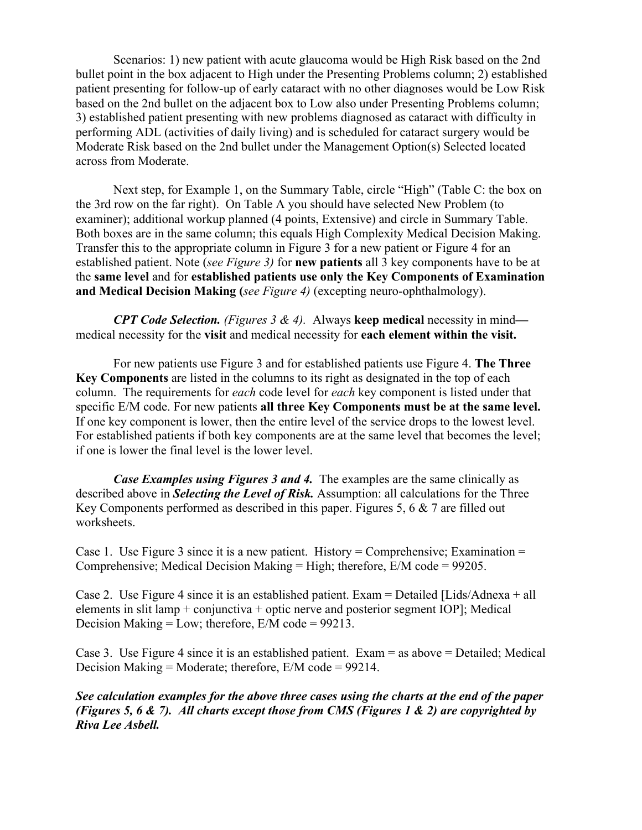Scenarios: 1) new patient with acute glaucoma would be High Risk based on the 2nd bullet point in the box adjacent to High under the Presenting Problems column; 2) established patient presenting for follow-up of early cataract with no other diagnoses would be Low Risk based on the 2nd bullet on the adjacent box to Low also under Presenting Problems column; 3) established patient presenting with new problems diagnosed as cataract with difficulty in performing ADL (activities of daily living) and is scheduled for cataract surgery would be Moderate Risk based on the 2nd bullet under the Management Option(s) Selected located across from Moderate.

Next step, for Example 1, on the Summary Table, circle "High" (Table C: the box on the 3rd row on the far right). On Table A you should have selected New Problem (to examiner); additional workup planned (4 points, Extensive) and circle in Summary Table. Both boxes are in the same column; this equals High Complexity Medical Decision Making. Transfer this to the appropriate column in Figure 3 for a new patient or Figure 4 for an established patient. Note (*see Figure 3)* for **new patients** all 3 key components have to be at the **same level** and for **established patients use only the Key Components of Examination and Medical Decision Making (***see Figure 4)* (excepting neuro-ophthalmology).

*CPT Code Selection. (Figures 3 & 4).* Always **keep medical** necessity in mind medical necessity for the **visit** and medical necessity for **each element within the visit.**

For new patients use Figure 3 and for established patients use Figure 4. **The Three Key Components** are listed in the columns to its right as designated in the top of each column. The requirements for *each* code level for *each* key component is listed under that specific E/M code. For new patients **all three Key Components must be at the same level.** If one key component is lower, then the entire level of the service drops to the lowest level. For established patients if both key components are at the same level that becomes the level; if one is lower the final level is the lower level.

*Case Examples using Figures 3 and 4.* The examples are the same clinically as described above in *Selecting the Level of Risk.* Assumption: all calculations for the Three Key Components performed as described in this paper. Figures 5, 6  $\&$  7 are filled out worksheets.

Case 1. Use Figure 3 since it is a new patient. History = Comprehensive; Examination = Comprehensive; Medical Decision Making = High; therefore, E/M code = 99205.

Case 2. Use Figure 4 since it is an established patient. Exam = Detailed [Lids/Adnexa + all elements in slit lamp + conjunctiva + optic nerve and posterior segment IOP]; Medical Decision Making  $=$  Low; therefore, E/M code  $= 99213$ .

Case 3. Use Figure 4 since it is an established patient. Exam = as above = Detailed; Medical Decision Making = Moderate; therefore, E/M code = 99214.

*See calculation examples for the above three cases using the charts at the end of the paper (Figures 5, 6 & 7). All charts except those from CMS (Figures 1 & 2) are copyrighted by Riva Lee Asbell.*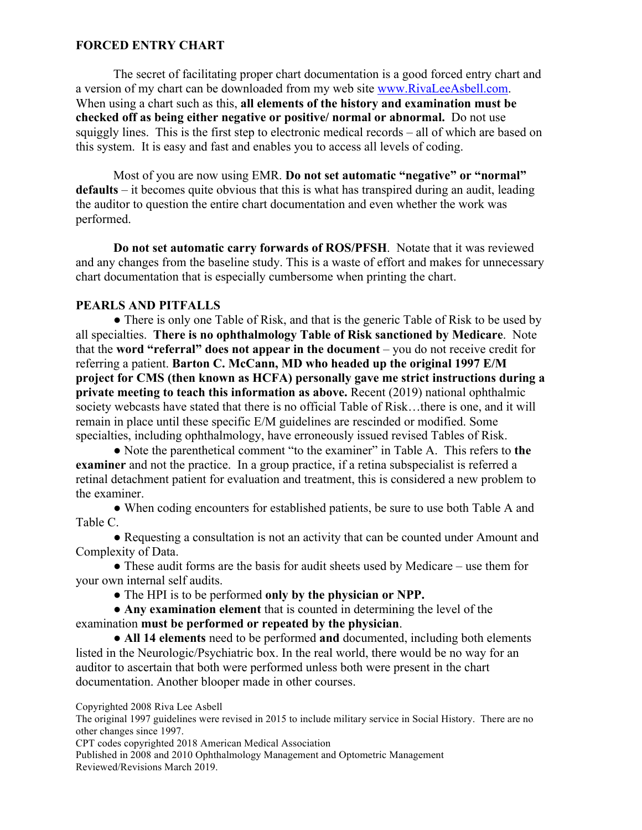## **FORCED ENTRY CHART**

The secret of facilitating proper chart documentation is a good forced entry chart and a version of my chart can be downloaded from my web site www.RivaLeeAsbell.com. When using a chart such as this, **all elements of the history and examination must be checked off as being either negative or positive/ normal or abnormal.** Do not use squiggly lines. This is the first step to electronic medical records – all of which are based on this system. It is easy and fast and enables you to access all levels of coding.

Most of you are now using EMR. **Do not set automatic "negative" or "normal" defaults** – it becomes quite obvious that this is what has transpired during an audit, leading the auditor to question the entire chart documentation and even whether the work was performed.

**Do not set automatic carry forwards of ROS/PFSH**. Notate that it was reviewed and any changes from the baseline study. This is a waste of effort and makes for unnecessary chart documentation that is especially cumbersome when printing the chart.

## **PEARLS AND PITFALLS**

• There is only one Table of Risk, and that is the generic Table of Risk to be used by all specialties. **There is no ophthalmology Table of Risk sanctioned by Medicare**. Note that the **word "referral" does not appear in the document** – you do not receive credit for referring a patient. **Barton C. McCann, MD who headed up the original 1997 E/M project for CMS (then known as HCFA) personally gave me strict instructions during a private meeting to teach this information as above.** Recent (2019) national ophthalmic society webcasts have stated that there is no official Table of Risk…there is one, and it will remain in place until these specific E/M guidelines are rescinded or modified. Some specialties, including ophthalmology, have erroneously issued revised Tables of Risk.

● Note the parenthetical comment "to the examiner" in Table A. This refers to **the examiner** and not the practice. In a group practice, if a retina subspecialist is referred a retinal detachment patient for evaluation and treatment, this is considered a new problem to the examiner.

• When coding encounters for established patients, be sure to use both Table A and Table C.

● Requesting a consultation is not an activity that can be counted under Amount and Complexity of Data.

• These audit forms are the basis for audit sheets used by Medicare – use them for your own internal self audits.

● The HPI is to be performed **only by the physician or NPP.**

● **Any examination element** that is counted in determining the level of the examination **must be performed or repeated by the physician**.

● **All 14 elements** need to be performed **and** documented, including both elements listed in the Neurologic/Psychiatric box. In the real world, there would be no way for an auditor to ascertain that both were performed unless both were present in the chart documentation. Another blooper made in other courses.

CPT codes copyrighted 2018 American Medical Association

Published in 2008 and 2010 Ophthalmology Management and Optometric Management Reviewed/Revisions March 2019.

Copyrighted 2008 Riva Lee Asbell

The original 1997 guidelines were revised in 2015 to include military service in Social History. There are no other changes since 1997.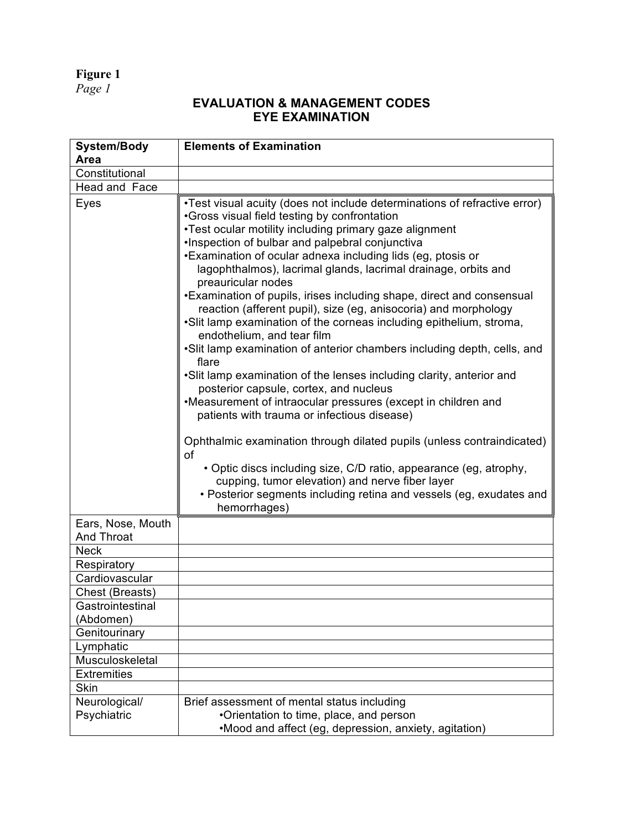**Figure 1** *Page 1*

## **EVALUATION & MANAGEMENT CODES EYE EXAMINATION**

| <b>System/Body</b>           | <b>Elements of Examination</b>                                                                                                                                                                                                                                                                                                                                                                                                                                                                                                                                                                                                                                                                                                                                                                                                                                                                                                                                         |
|------------------------------|------------------------------------------------------------------------------------------------------------------------------------------------------------------------------------------------------------------------------------------------------------------------------------------------------------------------------------------------------------------------------------------------------------------------------------------------------------------------------------------------------------------------------------------------------------------------------------------------------------------------------------------------------------------------------------------------------------------------------------------------------------------------------------------------------------------------------------------------------------------------------------------------------------------------------------------------------------------------|
| Area                         |                                                                                                                                                                                                                                                                                                                                                                                                                                                                                                                                                                                                                                                                                                                                                                                                                                                                                                                                                                        |
| Constitutional               |                                                                                                                                                                                                                                                                                                                                                                                                                                                                                                                                                                                                                                                                                                                                                                                                                                                                                                                                                                        |
| Head and Face                |                                                                                                                                                                                                                                                                                                                                                                                                                                                                                                                                                                                                                                                                                                                                                                                                                                                                                                                                                                        |
| Eyes                         | •Test visual acuity (does not include determinations of refractive error)<br>.Gross visual field testing by confrontation<br>•Test ocular motility including primary gaze alignment<br>·Inspection of bulbar and palpebral conjunctiva<br>•Examination of ocular adnexa including lids (eg, ptosis or<br>lagophthalmos), lacrimal glands, lacrimal drainage, orbits and<br>preauricular nodes<br>•Examination of pupils, irises including shape, direct and consensual<br>reaction (afferent pupil), size (eg, anisocoria) and morphology<br>•Slit lamp examination of the corneas including epithelium, stroma,<br>endothelium, and tear film<br>. Slit lamp examination of anterior chambers including depth, cells, and<br>flare<br>. Slit lamp examination of the lenses including clarity, anterior and<br>posterior capsule, cortex, and nucleus<br>•Measurement of intraocular pressures (except in children and<br>patients with trauma or infectious disease) |
|                              | Ophthalmic examination through dilated pupils (unless contraindicated)<br>of<br>• Optic discs including size, C/D ratio, appearance (eg, atrophy,<br>cupping, tumor elevation) and nerve fiber layer<br>• Posterior segments including retina and vessels (eg, exudates and<br>hemorrhages)                                                                                                                                                                                                                                                                                                                                                                                                                                                                                                                                                                                                                                                                            |
| Ears, Nose, Mouth            |                                                                                                                                                                                                                                                                                                                                                                                                                                                                                                                                                                                                                                                                                                                                                                                                                                                                                                                                                                        |
| <b>And Throat</b>            |                                                                                                                                                                                                                                                                                                                                                                                                                                                                                                                                                                                                                                                                                                                                                                                                                                                                                                                                                                        |
| <b>Neck</b>                  |                                                                                                                                                                                                                                                                                                                                                                                                                                                                                                                                                                                                                                                                                                                                                                                                                                                                                                                                                                        |
| Respiratory                  |                                                                                                                                                                                                                                                                                                                                                                                                                                                                                                                                                                                                                                                                                                                                                                                                                                                                                                                                                                        |
| Cardiovascular               |                                                                                                                                                                                                                                                                                                                                                                                                                                                                                                                                                                                                                                                                                                                                                                                                                                                                                                                                                                        |
| Chest (Breasts)              |                                                                                                                                                                                                                                                                                                                                                                                                                                                                                                                                                                                                                                                                                                                                                                                                                                                                                                                                                                        |
| Gastrointestinal             |                                                                                                                                                                                                                                                                                                                                                                                                                                                                                                                                                                                                                                                                                                                                                                                                                                                                                                                                                                        |
| (Abdomen)                    |                                                                                                                                                                                                                                                                                                                                                                                                                                                                                                                                                                                                                                                                                                                                                                                                                                                                                                                                                                        |
| Genitourinary                |                                                                                                                                                                                                                                                                                                                                                                                                                                                                                                                                                                                                                                                                                                                                                                                                                                                                                                                                                                        |
| Lymphatic                    |                                                                                                                                                                                                                                                                                                                                                                                                                                                                                                                                                                                                                                                                                                                                                                                                                                                                                                                                                                        |
| Musculoskeletal              |                                                                                                                                                                                                                                                                                                                                                                                                                                                                                                                                                                                                                                                                                                                                                                                                                                                                                                                                                                        |
| <b>Extremities</b>           |                                                                                                                                                                                                                                                                                                                                                                                                                                                                                                                                                                                                                                                                                                                                                                                                                                                                                                                                                                        |
| <b>Skin</b>                  |                                                                                                                                                                                                                                                                                                                                                                                                                                                                                                                                                                                                                                                                                                                                                                                                                                                                                                                                                                        |
| Neurological/<br>Psychiatric | Brief assessment of mental status including<br>•Orientation to time, place, and person<br>•Mood and affect (eg, depression, anxiety, agitation)                                                                                                                                                                                                                                                                                                                                                                                                                                                                                                                                                                                                                                                                                                                                                                                                                        |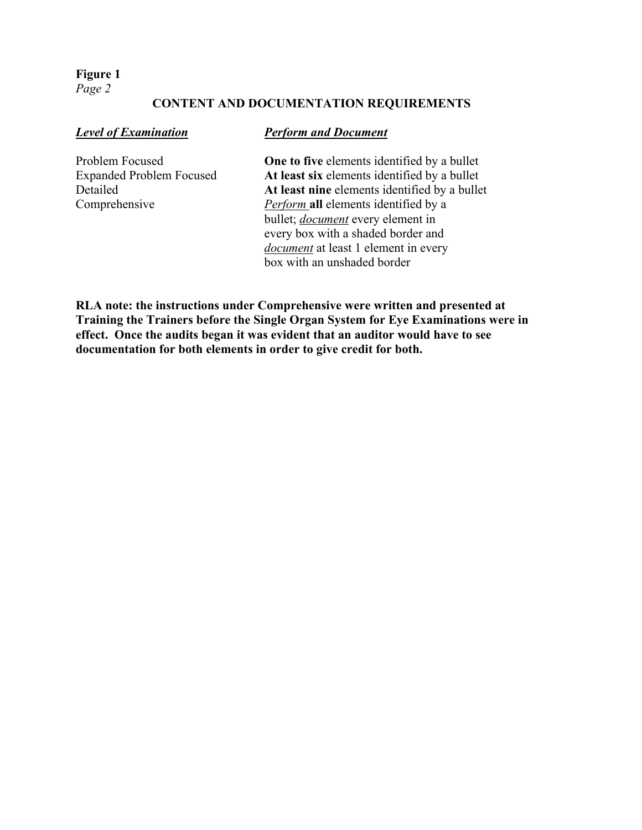## **Figure 1** *Page 2* **CONTENT AND DOCUMENTATION REQUIREMENTS**

## *Level of Examination Perform and Document*

Problem Focused **One to five** elements identified by a bullet Expanded Problem Focused **At least six** elements identified by a bullet Detailed **At least nine** elements identified by a bullet Comprehensive *Perform* all elements identified by a bullet; *document* every element in every box with a shaded border and *document* at least 1 element in every box with an unshaded border

**RLA note: the instructions under Comprehensive were written and presented at Training the Trainers before the Single Organ System for Eye Examinations were in effect. Once the audits began it was evident that an auditor would have to see documentation for both elements in order to give credit for both.**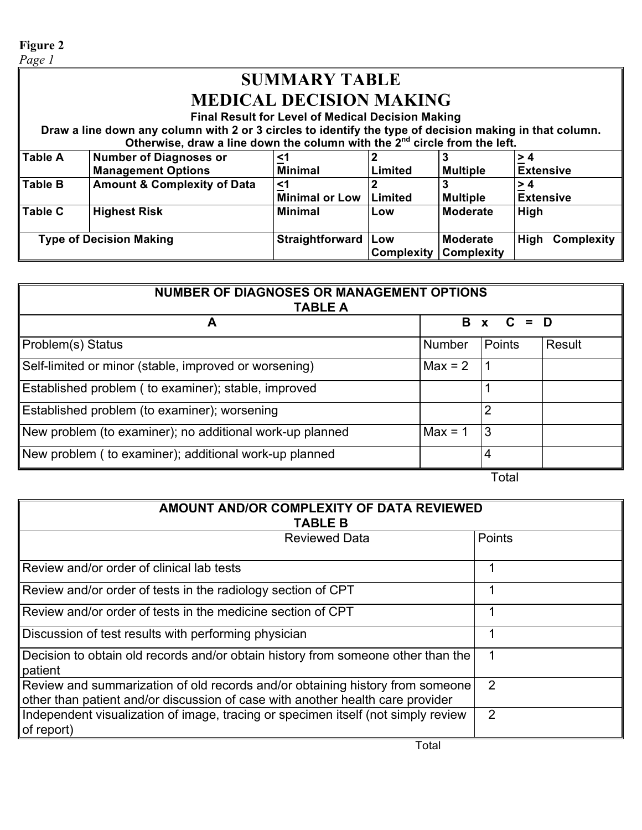**Figure 2** *Page 1*

# **SUMMARY TABLE MEDICAL DECISION MAKING**

 **Final Result for Level of Medical Decision Making**

**Draw a line down any column with 2 or 3 circles to identify the type of decision making in that column. Otherwise, draw a line down the column with the 2nd circle from the left.**

| <b>Table A</b> | <b>Number of Diagnoses or</b><br><b>Management Options</b> | $\leq$<br><b>Minimal</b>          | Limited           | <b>Multiple</b>                      | > 4<br><b>Extensive</b>      |
|----------------|------------------------------------------------------------|-----------------------------------|-------------------|--------------------------------------|------------------------------|
| Table B        | <b>Amount &amp; Complexity of Data</b>                     | $\leq$ 1<br><b>Minimal or Low</b> | <b>Limited</b>    | <b>Multiple</b>                      | $\geq 4$<br><b>Extensive</b> |
| Table C        | <b>Highest Risk</b>                                        | <b>Minimal</b>                    | Low               | <b>Moderate</b>                      | High                         |
|                | <b>Type of Decision Making</b>                             | Straightforward   Low             | <b>Complexity</b> | <b>Moderate</b><br><b>Complexity</b> | High<br><b>Complexity</b>    |

| <b>NUMBER OF DIAGNOSES OR MANAGEMENT OPTIONS</b>         |               |                 |        |  |  |  |
|----------------------------------------------------------|---------------|-----------------|--------|--|--|--|
| <b>TABLE A</b><br>A                                      | В             | $x \quad C = D$ |        |  |  |  |
| Problem(s) Status                                        | <b>Number</b> | <b>Points</b>   | Result |  |  |  |
| Self-limited or minor (stable, improved or worsening)    | $Max = 2$     |                 |        |  |  |  |
| Established problem (to examiner); stable, improved      |               |                 |        |  |  |  |
| Established problem (to examiner); worsening             |               | $\overline{2}$  |        |  |  |  |
| New problem (to examiner); no additional work-up planned | $Max = 1$     | 3               |        |  |  |  |
| New problem (to examiner); additional work-up planned    |               | 4               |        |  |  |  |
|                                                          |               | $T0$ tol        |        |  |  |  |

**Total** 

| AMOUNT AND/OR COMPLEXITY OF DATA REVIEWED<br><b>TABLE B</b>                                                                                                     |                |  |  |  |  |
|-----------------------------------------------------------------------------------------------------------------------------------------------------------------|----------------|--|--|--|--|
| <b>Reviewed Data</b>                                                                                                                                            | Points         |  |  |  |  |
| Review and/or order of clinical lab tests                                                                                                                       |                |  |  |  |  |
| Review and/or order of tests in the radiology section of CPT                                                                                                    |                |  |  |  |  |
| Review and/or order of tests in the medicine section of CPT                                                                                                     | 1              |  |  |  |  |
| Discussion of test results with performing physician                                                                                                            | 1              |  |  |  |  |
| Decision to obtain old records and/or obtain history from someone other than the<br>patient                                                                     | 1              |  |  |  |  |
| Review and summarization of old records and/or obtaining history from someone<br>other than patient and/or discussion of case with another health care provider | 2              |  |  |  |  |
| Independent visualization of image, tracing or specimen itself (not simply review<br>of report)                                                                 | $\overline{2}$ |  |  |  |  |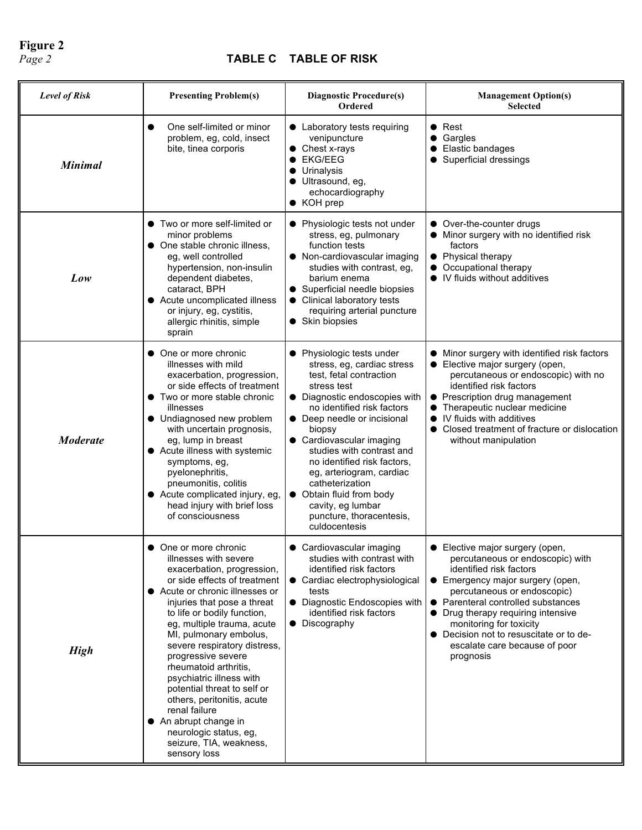## *Page 2* **TABLE C****TABLE OF RISK**

| <b>Level of Risk</b> | <b>Presenting Problem(s)</b>                                                                                                                                                                                                                                                                                                                                                                                                                                                                                                                                 | <b>Diagnostic Procedure(s)</b><br>Ordered                                                                                                                                                                                                                                                                                                                                                                                                      | <b>Management Option(s)</b><br><b>Selected</b>                                                                                                                                                                                                                                                                                                                  |
|----------------------|--------------------------------------------------------------------------------------------------------------------------------------------------------------------------------------------------------------------------------------------------------------------------------------------------------------------------------------------------------------------------------------------------------------------------------------------------------------------------------------------------------------------------------------------------------------|------------------------------------------------------------------------------------------------------------------------------------------------------------------------------------------------------------------------------------------------------------------------------------------------------------------------------------------------------------------------------------------------------------------------------------------------|-----------------------------------------------------------------------------------------------------------------------------------------------------------------------------------------------------------------------------------------------------------------------------------------------------------------------------------------------------------------|
| <b>Minimal</b>       | One self-limited or minor<br>problem, eg, cold, insect<br>bite, tinea corporis                                                                                                                                                                                                                                                                                                                                                                                                                                                                               | • Laboratory tests requiring<br>venipuncture<br>$\bullet$ Chest x-rays<br>$\bullet$ EKG/EEG<br><b>Urinalysis</b><br>• Ultrasound, eg,<br>echocardiography<br>$\bullet$ KOH prep                                                                                                                                                                                                                                                                | $\bullet$ Rest<br>Gargles<br>Elastic bandages<br>• Superficial dressings                                                                                                                                                                                                                                                                                        |
| Low                  | • Two or more self-limited or<br>minor problems<br>• One stable chronic illness,<br>eg, well controlled<br>hypertension, non-insulin<br>dependent diabetes,<br>cataract, BPH<br>• Acute uncomplicated illness<br>or injury, eg, cystitis,<br>allergic rhinitis, simple<br>sprain                                                                                                                                                                                                                                                                             | • Physiologic tests not under<br>stress, eg, pulmonary<br>function tests<br>• Non-cardiovascular imaging<br>studies with contrast, eg,<br>barium enema<br>• Superficial needle biopsies<br>• Clinical laboratory tests<br>requiring arterial puncture<br>• Skin biopsies                                                                                                                                                                       | • Over-the-counter drugs<br>• Minor surgery with no identified risk<br>factors<br>• Physical therapy<br>Occupational therapy<br>• IV fluids without additives                                                                                                                                                                                                   |
| <b>Moderate</b>      | • One or more chronic<br>illnesses with mild<br>exacerbation, progression,<br>or side effects of treatment<br>• Two or more stable chronic<br>illnesses<br>• Undiagnosed new problem<br>with uncertain prognosis,<br>eg, lump in breast<br>• Acute illness with systemic<br>symptoms, eg,<br>pyelonephritis,<br>pneumonitis, colitis<br>• Acute complicated injury, eg,<br>head injury with brief loss<br>of consciousness                                                                                                                                   | • Physiologic tests under<br>stress, eg, cardiac stress<br>test, fetal contraction<br>stress test<br>• Diagnostic endoscopies with<br>no identified risk factors<br>• Deep needle or incisional<br>biopsy<br>• Cardiovascular imaging<br>studies with contrast and<br>no identified risk factors,<br>eg, arteriogram, cardiac<br>catheterization<br>• Obtain fluid from body<br>cavity, eg lumbar<br>puncture, thoracentesis,<br>culdocentesis | • Minor surgery with identified risk factors<br>• Elective major surgery (open,<br>percutaneous or endoscopic) with no<br>identified risk factors<br>• Prescription drug management<br>Therapeutic nuclear medicine<br>IV fluids with additives<br>• Closed treatment of fracture or dislocation<br>without manipulation                                        |
| <b>High</b>          | • One or more chronic<br>illnesses with severe<br>exacerbation, progression,<br>or side effects of treatment<br>● Acute or chronic illnesses or<br>injuries that pose a threat<br>to life or bodily function,<br>eg, multiple trauma, acute<br>MI, pulmonary embolus,<br>severe respiratory distress,<br>progressive severe<br>rheumatoid arthritis,<br>psychiatric illness with<br>potential threat to self or<br>others, peritonitis, acute<br>renal failure<br>• An abrupt change in<br>neurologic status, eg,<br>seizure, TIA, weakness,<br>sensory loss | • Cardiovascular imaging<br>studies with contrast with<br>identified risk factors<br>• Cardiac electrophysiological<br>tests<br>• Diagnostic Endoscopies with<br>identified risk factors<br>• Discography                                                                                                                                                                                                                                      | Elective major surgery (open,<br>percutaneous or endoscopic) with<br>identified risk factors<br>• Emergency major surgery (open,<br>percutaneous or endoscopic)<br>• Parenteral controlled substances<br>• Drug therapy requiring intensive<br>monitoring for toxicity<br>• Decision not to resuscitate or to de-<br>escalate care because of poor<br>prognosis |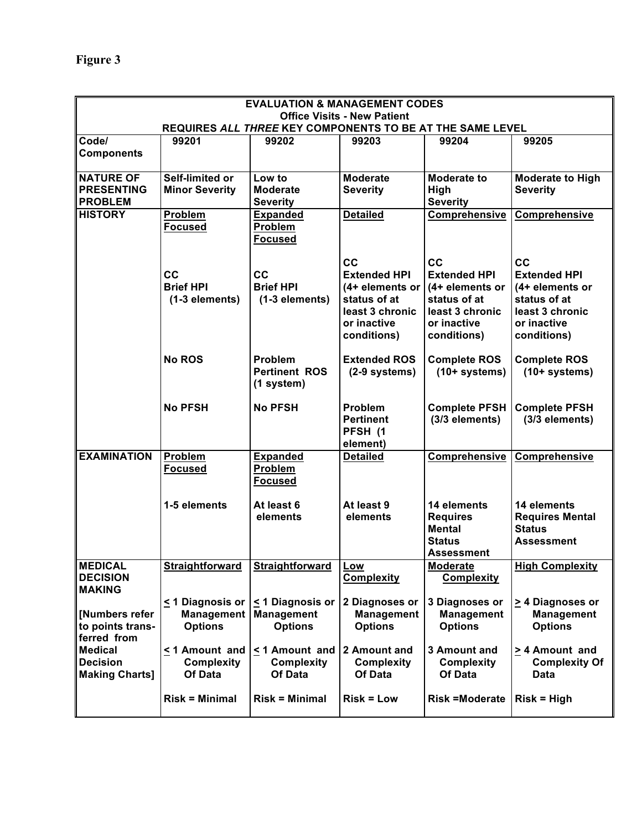| <b>EVALUATION &amp; MANAGEMENT CODES</b>                                                        |                        |                            |                                |                                      |                                |  |  |
|-------------------------------------------------------------------------------------------------|------------------------|----------------------------|--------------------------------|--------------------------------------|--------------------------------|--|--|
| <b>Office Visits - New Patient</b><br>REQUIRES ALL THREE KEY COMPONENTS TO BE AT THE SAME LEVEL |                        |                            |                                |                                      |                                |  |  |
| Code/                                                                                           | 99201                  | 99202                      | 99203                          | 99204                                | 99205                          |  |  |
| <b>Components</b>                                                                               |                        |                            |                                |                                      |                                |  |  |
| <b>NATURE OF</b>                                                                                | Self-limited or        | Low to                     | <b>Moderate</b>                | <b>Moderate to</b>                   | <b>Moderate to High</b>        |  |  |
| <b>PRESENTING</b>                                                                               | <b>Minor Severity</b>  | <b>Moderate</b>            | <b>Severity</b>                | High                                 | <b>Severity</b>                |  |  |
| <b>PROBLEM</b>                                                                                  |                        | <b>Severity</b>            |                                | <b>Severity</b>                      |                                |  |  |
| <b>HISTORY</b>                                                                                  | Problem                | <b>Expanded</b>            | <b>Detailed</b>                | Comprehensive                        | <b>Comprehensive</b>           |  |  |
|                                                                                                 | <b>Focused</b>         | Problem                    |                                |                                      |                                |  |  |
|                                                                                                 |                        | <b>Focused</b>             |                                |                                      |                                |  |  |
|                                                                                                 |                        |                            | cc                             | cc                                   | cc                             |  |  |
|                                                                                                 | cc                     | cc                         | <b>Extended HPI</b>            | <b>Extended HPI</b>                  | <b>Extended HPI</b>            |  |  |
|                                                                                                 | <b>Brief HPI</b>       | <b>Brief HPI</b>           |                                | $(4+$ elements or $ (4+$ elements or | (4+ elements or                |  |  |
|                                                                                                 | (1-3 elements)         | (1-3 elements)             | status of at                   | status of at                         | status of at                   |  |  |
|                                                                                                 |                        |                            | least 3 chronic<br>or inactive | least 3 chronic<br>or inactive       | least 3 chronic<br>or inactive |  |  |
|                                                                                                 |                        |                            | conditions)                    | conditions)                          | conditions)                    |  |  |
|                                                                                                 |                        |                            |                                |                                      |                                |  |  |
|                                                                                                 | <b>No ROS</b>          | <b>Problem</b>             | <b>Extended ROS</b>            | <b>Complete ROS</b>                  | <b>Complete ROS</b>            |  |  |
|                                                                                                 |                        | <b>Pertinent ROS</b>       | (2-9 systems)                  | $(10+$ systems)                      | $(10+$ systems)                |  |  |
|                                                                                                 |                        | (1 system)                 |                                |                                      |                                |  |  |
|                                                                                                 | <b>No PFSH</b>         | <b>No PFSH</b>             | <b>Problem</b>                 | <b>Complete PFSH</b>                 | <b>Complete PFSH</b>           |  |  |
|                                                                                                 |                        |                            | <b>Pertinent</b>               | (3/3 elements)                       | (3/3 elements)                 |  |  |
|                                                                                                 |                        |                            | PFSH (1                        |                                      |                                |  |  |
|                                                                                                 |                        |                            | element)                       |                                      |                                |  |  |
| <b>EXAMINATION</b>                                                                              | Problem                | <b>Expanded</b><br>Problem | <b>Detailed</b>                | Comprehensive                        | <b>Comprehensive</b>           |  |  |
|                                                                                                 | <b>Focused</b>         | <b>Focused</b>             |                                |                                      |                                |  |  |
|                                                                                                 |                        |                            |                                |                                      |                                |  |  |
|                                                                                                 | 1-5 elements           | At least 6                 | At least 9                     | 14 elements                          | 14 elements                    |  |  |
|                                                                                                 |                        | elements                   | elements                       | <b>Requires</b>                      | <b>Requires Mental</b>         |  |  |
|                                                                                                 |                        |                            |                                | <b>Mental</b>                        | <b>Status</b>                  |  |  |
|                                                                                                 |                        |                            |                                | <b>Status</b><br><b>Assessment</b>   | <b>Assessment</b>              |  |  |
| <b>MEDICAL</b>                                                                                  | <u>Straightforward</u> | Straightforward            | Low                            | <b>Moderate</b>                      | <b>High Complexity</b>         |  |  |
| <b>DECISION</b>                                                                                 |                        |                            | <b>Complexity</b>              | <b>Complexity</b>                    |                                |  |  |
| <b>MAKING</b>                                                                                   |                        |                            |                                |                                      |                                |  |  |
|                                                                                                 | $\leq$ 1 Diagnosis or  | $\leq$ 1 Diagnosis or      | 2 Diagnoses or                 | 3 Diagnoses or                       | > 4 Diagnoses or               |  |  |
| [Numbers refer                                                                                  | <b>Management</b>      | <b>Management</b>          | <b>Management</b>              | <b>Management</b>                    | <b>Management</b>              |  |  |
| to points trans-<br>ferred from                                                                 | <b>Options</b>         | <b>Options</b>             | <b>Options</b>                 | <b>Options</b>                       | <b>Options</b>                 |  |  |
| <b>Medical</b>                                                                                  | $\leq$ 1 Amount and    | $\leq$ 1 Amount and        | 2 Amount and                   | 3 Amount and                         | $\geq$ 4 Amount and            |  |  |
| <b>Decision</b>                                                                                 | <b>Complexity</b>      | <b>Complexity</b>          | <b>Complexity</b>              | <b>Complexity</b>                    | <b>Complexity Of</b>           |  |  |
| <b>Making Charts1</b>                                                                           | Of Data                | Of Data                    | Of Data                        | <b>Of Data</b>                       | <b>Data</b>                    |  |  |
|                                                                                                 |                        |                            |                                |                                      |                                |  |  |
|                                                                                                 | <b>Risk = Minimal</b>  | <b>Risk = Minimal</b>      | <b>Risk = Low</b>              | <b>Risk =Moderate</b>                | $Risk = High$                  |  |  |
|                                                                                                 |                        |                            |                                |                                      |                                |  |  |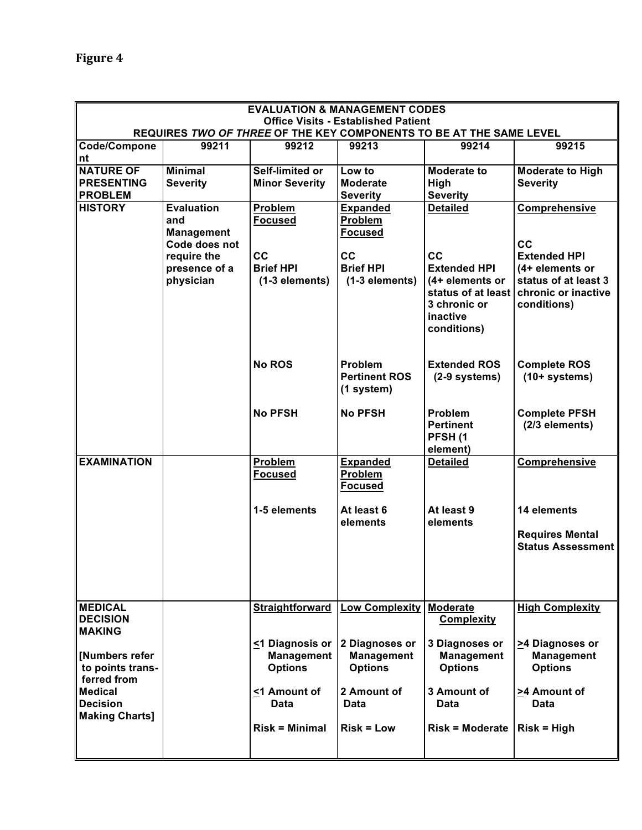| <b>EVALUATION &amp; MANAGEMENT CODES</b><br><b>Office Visits - Established Patient</b> |                                                                                                             |                                                                        |                                                                                          |                                                                                                                                  |                                                                                                                             |  |
|----------------------------------------------------------------------------------------|-------------------------------------------------------------------------------------------------------------|------------------------------------------------------------------------|------------------------------------------------------------------------------------------|----------------------------------------------------------------------------------------------------------------------------------|-----------------------------------------------------------------------------------------------------------------------------|--|
|                                                                                        |                                                                                                             |                                                                        |                                                                                          | REQUIRES TWO OF THREE OF THE KEY COMPONENTS TO BE AT THE SAME LEVEL                                                              |                                                                                                                             |  |
| Code/Compone<br>nt                                                                     | 99211                                                                                                       | 99212                                                                  | 99213                                                                                    | 99214                                                                                                                            | 99215                                                                                                                       |  |
| <b>NATURE OF</b><br><b>PRESENTING</b><br><b>PROBLEM</b>                                | <b>Minimal</b><br><b>Severity</b>                                                                           | Self-limited or<br><b>Minor Severity</b>                               | Low to<br><b>Moderate</b><br><b>Severity</b>                                             | Moderate to<br>High<br><b>Severity</b>                                                                                           | <b>Moderate to High</b><br><b>Severity</b>                                                                                  |  |
| <b>HISTORY</b>                                                                         | <b>Evaluation</b><br>and<br><b>Management</b><br>Code does not<br>require the<br>presence of a<br>physician | Problem<br><b>Focused</b><br>cc<br><b>Brief HPI</b><br>(1-3 elements)  | <b>Expanded</b><br>Problem<br><b>Focused</b><br>cc<br><b>Brief HPI</b><br>(1-3 elements) | <b>Detailed</b><br>CC<br><b>Extended HPI</b><br>(4+ elements or<br>status of at least<br>3 chronic or<br>inactive<br>conditions) | Comprehensive<br>cc<br><b>Extended HPI</b><br>(4+ elements or<br>status of at least 3<br>chronic or inactive<br>conditions) |  |
|                                                                                        |                                                                                                             | <b>No ROS</b>                                                          | <b>Problem</b><br><b>Pertinent ROS</b><br>(1 system)                                     | <b>Extended ROS</b><br>(2-9 systems)                                                                                             | <b>Complete ROS</b><br>$(10+$ systems)                                                                                      |  |
|                                                                                        |                                                                                                             | <b>No PFSH</b>                                                         | <b>No PFSH</b>                                                                           | <b>Problem</b><br><b>Pertinent</b><br>PFSH <sub>(1</sub><br>element)                                                             | <b>Complete PFSH</b><br>(2/3 elements)                                                                                      |  |
| <b>EXAMINATION</b>                                                                     |                                                                                                             | Problem<br><b>Focused</b>                                              | <b>Expanded</b><br>Problem<br><b>Focused</b>                                             | <b>Detailed</b>                                                                                                                  | Comprehensive                                                                                                               |  |
|                                                                                        |                                                                                                             | 1-5 elements                                                           | At least 6<br>elements                                                                   | At least 9<br>elements                                                                                                           | 14 elements<br><b>Requires Mental</b><br><b>Status Assessment</b>                                                           |  |
| <b>MEDICAL</b><br><b>DECISION</b><br><b>MAKING</b>                                     |                                                                                                             | <b>Straightforward</b>                                                 | <b>Low Complexity</b>                                                                    | <b>Moderate</b><br><b>Complexity</b>                                                                                             | <b>High Complexity</b>                                                                                                      |  |
| [Numbers refer<br>to points trans-<br>ferred from<br><b>Medical</b>                    |                                                                                                             | ≤1 Diagnosis or<br><b>Management</b><br><b>Options</b><br><1 Amount of | 2 Diagnoses or<br><b>Management</b><br><b>Options</b><br>2 Amount of                     | 3 Diagnoses or<br><b>Management</b><br><b>Options</b><br>3 Amount of                                                             | >4 Diagnoses or<br><b>Management</b><br><b>Options</b><br>>4 Amount of                                                      |  |
| <b>Decision</b><br><b>Making Charts]</b>                                               |                                                                                                             | Data<br>$Risk = Minimal$                                               | <b>Data</b><br>$Risk = Low$                                                              | Data<br><b>Risk = Moderate</b>                                                                                                   | <b>Data</b><br>$Risk = High$                                                                                                |  |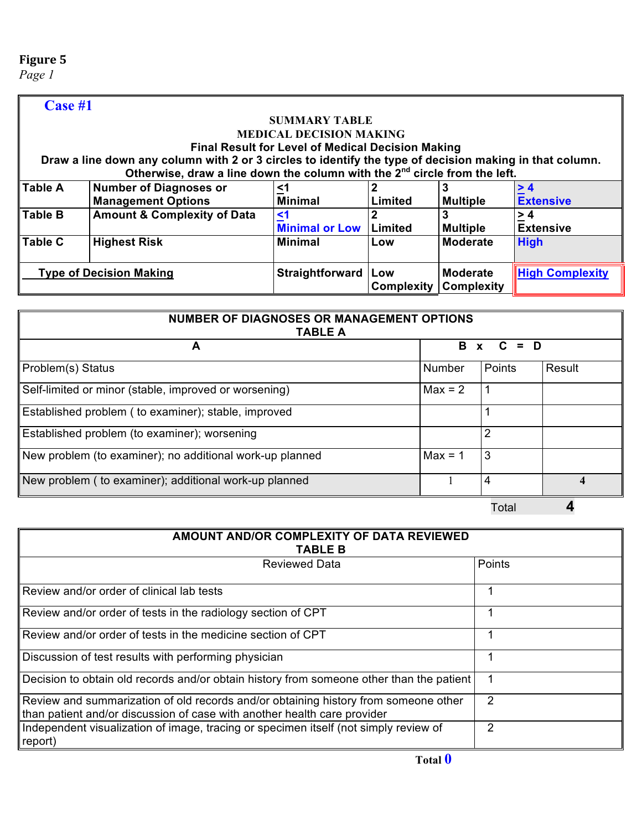*Page 1*

| <b>Case #1</b> |                                                                                                         |                                                          |                   |                   |                        |
|----------------|---------------------------------------------------------------------------------------------------------|----------------------------------------------------------|-------------------|-------------------|------------------------|
|                |                                                                                                         | <b>SUMMARY TABLE</b>                                     |                   |                   |                        |
|                |                                                                                                         | <b>MEDICAL DECISION MAKING</b>                           |                   |                   |                        |
|                |                                                                                                         | <b>Final Result for Level of Medical Decision Making</b> |                   |                   |                        |
|                | Draw a line down any column with 2 or 3 circles to identify the type of decision making in that column. |                                                          |                   |                   |                        |
|                | Otherwise, draw a line down the column with the 2 <sup>nd</sup> circle from the left.                   |                                                          |                   |                   |                        |
| <b>Table A</b> | <b>Number of Diagnoses or</b>                                                                           | <1                                                       |                   |                   | $\geq 4$               |
|                | <b>Management Options</b>                                                                               | <b>Minimal</b>                                           | Limited           | <b>Multiple</b>   | <b>Extensive</b>       |
| <b>Table B</b> | <b>Amount &amp; Complexity of Data</b>                                                                  | $\leq$ 1                                                 |                   | 3                 | > 4                    |
|                |                                                                                                         | <b>Minimal or Low</b>                                    | <b>Limited</b>    | <b>Multiple</b>   | <b>Extensive</b>       |
| <b>Table C</b> | <b>Highest Risk</b>                                                                                     | <b>Minimal</b>                                           | Low               | <b>Moderate</b>   | <b>High</b>            |
|                |                                                                                                         |                                                          |                   |                   |                        |
|                | <b>Type of Decision Making</b>                                                                          | Straightforward   Low                                    |                   | <b>Moderate</b>   | <b>High Complexity</b> |
|                |                                                                                                         |                                                          | <b>Complexity</b> | <b>Complexity</b> |                        |

| NUMBER OF DIAGNOSES OR MANAGEMENT OPTIONS<br><b>TABLE A</b> |           |                 |        |  |  |  |
|-------------------------------------------------------------|-----------|-----------------|--------|--|--|--|
| А                                                           | B.        | $x \quad C = D$ |        |  |  |  |
| Problem(s) Status                                           | Number    | Points          | Result |  |  |  |
| Self-limited or minor (stable, improved or worsening)       | $Max = 2$ |                 |        |  |  |  |
| Established problem (to examiner); stable, improved         |           |                 |        |  |  |  |
| Established problem (to examiner); worsening                |           | $\overline{2}$  |        |  |  |  |
| New problem (to examiner); no additional work-up planned    | $Max = 1$ | $\mathbf{3}$    |        |  |  |  |
| New problem (to examiner); additional work-up planned       |           | 4               | Δ      |  |  |  |

Total **4**

| AMOUNT AND/OR COMPLEXITY OF DATA REVIEWED<br><b>TABLE B</b>                                                                                                     |               |  |  |  |  |
|-----------------------------------------------------------------------------------------------------------------------------------------------------------------|---------------|--|--|--|--|
| <b>Reviewed Data</b>                                                                                                                                            | Points        |  |  |  |  |
| Review and/or order of clinical lab tests                                                                                                                       | 4             |  |  |  |  |
| Review and/or order of tests in the radiology section of CPT                                                                                                    |               |  |  |  |  |
| Review and/or order of tests in the medicine section of CPT                                                                                                     |               |  |  |  |  |
| Discussion of test results with performing physician                                                                                                            |               |  |  |  |  |
| Decision to obtain old records and/or obtain history from someone other than the patient                                                                        |               |  |  |  |  |
| Review and summarization of old records and/or obtaining history from someone other<br>than patient and/or discussion of case with another health care provider | $\mathcal{P}$ |  |  |  |  |
| Independent visualization of image, tracing or specimen itself (not simply review of<br>report)                                                                 | 2             |  |  |  |  |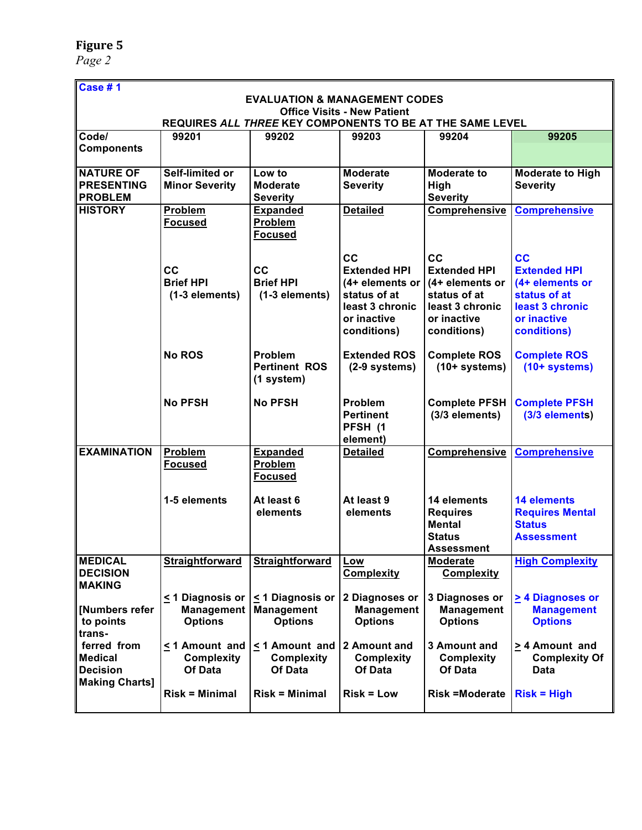*Page 2*

| Case #1               |                                                           |                                          |                     |                               |                         |  |  |  |
|-----------------------|-----------------------------------------------------------|------------------------------------------|---------------------|-------------------------------|-------------------------|--|--|--|
|                       |                                                           | <b>EVALUATION &amp; MANAGEMENT CODES</b> |                     |                               |                         |  |  |  |
|                       | <b>Office Visits - New Patient</b>                        |                                          |                     |                               |                         |  |  |  |
|                       | REQUIRES ALL THREE KEY COMPONENTS TO BE AT THE SAME LEVEL |                                          |                     |                               |                         |  |  |  |
| Code/                 | 99201                                                     | 99202                                    | 99203               | 99204                         | 99205                   |  |  |  |
| <b>Components</b>     |                                                           |                                          |                     |                               |                         |  |  |  |
| <b>NATURE OF</b>      | Self-limited or                                           | Low to                                   | <b>Moderate</b>     | <b>Moderate to</b>            | <b>Moderate to High</b> |  |  |  |
| <b>PRESENTING</b>     | <b>Minor Severity</b>                                     | <b>Moderate</b>                          | <b>Severity</b>     | High                          | <b>Severity</b>         |  |  |  |
| <b>PROBLEM</b>        |                                                           | <b>Severity</b>                          |                     | <b>Severity</b>               |                         |  |  |  |
| <b>HISTORY</b>        | Problem<br><b>Focused</b>                                 | <b>Expanded</b><br>Problem               | <b>Detailed</b>     | Comprehensive                 | <b>Comprehensive</b>    |  |  |  |
|                       |                                                           | <b>Focused</b>                           |                     |                               |                         |  |  |  |
|                       |                                                           |                                          | cc                  | cc                            | cc                      |  |  |  |
|                       | cc                                                        | cc                                       | <b>Extended HPI</b> | <b>Extended HPI</b>           | <b>Extended HPI</b>     |  |  |  |
|                       | <b>Brief HPI</b>                                          | <b>Brief HPI</b>                         | (4+ elements or     | (4+ elements or               | (4+ elements or         |  |  |  |
|                       | (1-3 elements)                                            | (1-3 elements)                           | status of at        | status of at                  | status of at            |  |  |  |
|                       |                                                           |                                          | least 3 chronic     | least 3 chronic               | least 3 chronic         |  |  |  |
|                       |                                                           |                                          | or inactive         | or inactive                   | or inactive             |  |  |  |
|                       |                                                           |                                          | conditions)         | conditions)                   | conditions)             |  |  |  |
|                       | <b>No ROS</b>                                             | <b>Problem</b>                           | <b>Extended ROS</b> | <b>Complete ROS</b>           | <b>Complete ROS</b>     |  |  |  |
|                       |                                                           | <b>Pertinent ROS</b>                     | (2-9 systems)       | $(10+$ systems)               | (10+ systems)           |  |  |  |
|                       |                                                           | (1 system)                               |                     |                               |                         |  |  |  |
|                       | <b>No PFSH</b>                                            | <b>No PFSH</b>                           | Problem             | <b>Complete PFSH</b>          | <b>Complete PFSH</b>    |  |  |  |
|                       |                                                           |                                          | <b>Pertinent</b>    | (3/3 elements)                | (3/3 elements)          |  |  |  |
|                       |                                                           |                                          | PFSH (1             |                               |                         |  |  |  |
|                       |                                                           |                                          | element)            |                               |                         |  |  |  |
| <b>EXAMINATION</b>    | Problem<br><b>Focused</b>                                 | <b>Expanded</b><br>Problem               | <b>Detailed</b>     | Comprehensive                 | <b>Comprehensive</b>    |  |  |  |
|                       |                                                           | <b>Focused</b>                           |                     |                               |                         |  |  |  |
|                       |                                                           |                                          |                     |                               |                         |  |  |  |
|                       | 1-5 elements                                              | At least 6                               | At least 9          | 14 elements                   | 14 elements             |  |  |  |
|                       |                                                           | elements                                 | elements            | <b>Requires</b>               | <b>Requires Mental</b>  |  |  |  |
|                       |                                                           |                                          |                     | <b>Mental</b>                 | <b>Status</b>           |  |  |  |
|                       |                                                           |                                          |                     | <b>Status</b>                 | <b>Assessment</b>       |  |  |  |
| <b>MEDICAL</b>        | Straightforward                                           | Straightforward                          | Low                 | Assessment<br><b>Moderate</b> | <b>High Complexity</b>  |  |  |  |
| <b>DECISION</b>       |                                                           |                                          | <b>Complexity</b>   | <b>Complexity</b>             |                         |  |  |  |
| <b>MAKING</b>         |                                                           |                                          |                     |                               |                         |  |  |  |
|                       | $\leq$ 1 Diagnosis or                                     | <1 Diagnosis or                          | 2 Diagnoses or      | 3 Diagnoses or                | 24 Diagnoses or         |  |  |  |
| [Numbers refer        | <b>Management</b>                                         | <b>Management</b>                        | <b>Management</b>   | <b>Management</b>             | <b>Management</b>       |  |  |  |
| to points             | <b>Options</b>                                            | <b>Options</b>                           | <b>Options</b>      | <b>Options</b>                | <b>Options</b>          |  |  |  |
| trans-<br>ferred from | <1 Amount and                                             | <1 Amount and                            | 2 Amount and        | 3 Amount and                  | > 4 Amount and          |  |  |  |
| <b>Medical</b>        | <b>Complexity</b>                                         | <b>Complexity</b>                        | <b>Complexity</b>   | <b>Complexity</b>             | <b>Complexity Of</b>    |  |  |  |
| <b>Decision</b>       | Of Data                                                   | <b>Of Data</b>                           | Of Data             | Of Data                       | <b>Data</b>             |  |  |  |
| <b>Making Charts]</b> |                                                           |                                          |                     |                               |                         |  |  |  |
|                       | <b>Risk = Minimal</b>                                     | <b>Risk = Minimal</b>                    | $Risk = Low$        | <b>Risk =Moderate</b>         | $Risk = High$           |  |  |  |

 $\blacksquare$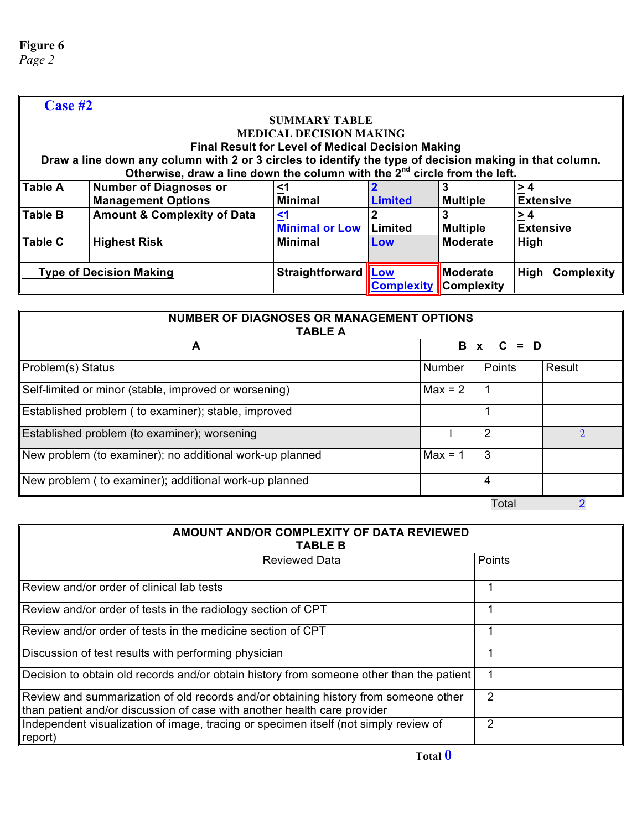| Case <b>#2</b>                                        |                                                                                                         |                                                          |                              |                 |                           |
|-------------------------------------------------------|---------------------------------------------------------------------------------------------------------|----------------------------------------------------------|------------------------------|-----------------|---------------------------|
|                                                       |                                                                                                         | <b>SUMMARY TABLE</b>                                     |                              |                 |                           |
|                                                       |                                                                                                         | <b>MEDICAL DECISION MAKING</b>                           |                              |                 |                           |
|                                                       |                                                                                                         | <b>Final Result for Level of Medical Decision Making</b> |                              |                 |                           |
|                                                       | Draw a line down any column with 2 or 3 circles to identify the type of decision making in that column. |                                                          |                              |                 |                           |
|                                                       | Otherwise, draw a line down the column with the $2^{nd}$ circle from the left.                          |                                                          |                              |                 |                           |
| ∥Table A                                              | <b>Number of Diagnoses or</b>                                                                           | <1                                                       |                              |                 | $\geq 4$                  |
|                                                       | <b>Management Options</b>                                                                               | <b>Minimal</b>                                           | <b>Limited</b>               | <b>Multiple</b> | <b>Extensive</b>          |
| ∥Table B                                              | <b>Amount &amp; Complexity of Data</b>                                                                  | $\leq$ 1                                                 |                              |                 | $\geq 4$                  |
|                                                       |                                                                                                         | <b>Minimal or Low</b>                                    | Limited                      | <b>Multiple</b> | <b>Extensive</b>          |
| ∥Table C                                              | <b>Highest Risk</b>                                                                                     | <b>Minimal</b>                                           | Low                          | <b>Moderate</b> | High                      |
|                                                       |                                                                                                         |                                                          |                              |                 |                           |
| Straightforward Low<br><b>Type of Decision Making</b> |                                                                                                         |                                                          |                              | Moderate        | High<br><b>Complexity</b> |
|                                                       |                                                                                                         |                                                          | <b>Complexity Complexity</b> |                 |                           |

| <b>NUMBER OF DIAGNOSES OR MANAGEMENT OPTIONS</b><br><b>TABLE A</b> |               |                  |               |  |
|--------------------------------------------------------------------|---------------|------------------|---------------|--|
| A                                                                  |               | $B \times C = D$ |               |  |
| Problem(s) Status                                                  | <b>Number</b> | Points           | Result        |  |
| Self-limited or minor (stable, improved or worsening)              | $Max = 2$     |                  |               |  |
| Established problem (to examiner); stable, improved                |               |                  |               |  |
| Established problem (to examiner); worsening                       |               | 2                | $\mathcal{D}$ |  |
| New problem (to examiner); no additional work-up planned           | $Max = 1$     | 3                |               |  |
| New problem (to examiner); additional work-up planned              |               | 4                |               |  |
|                                                                    |               | Total            |               |  |

| AMOUNT AND/OR COMPLEXITY OF DATA REVIEWED<br><b>TABLE B</b>                                                                                                     |        |  |  |  |
|-----------------------------------------------------------------------------------------------------------------------------------------------------------------|--------|--|--|--|
| <b>Reviewed Data</b>                                                                                                                                            | Points |  |  |  |
| Review and/or order of clinical lab tests                                                                                                                       |        |  |  |  |
| Review and/or order of tests in the radiology section of CPT                                                                                                    |        |  |  |  |
| Review and/or order of tests in the medicine section of CPT                                                                                                     | 1      |  |  |  |
| Discussion of test results with performing physician                                                                                                            |        |  |  |  |
| Decision to obtain old records and/or obtain history from someone other than the patient                                                                        |        |  |  |  |
| Review and summarization of old records and/or obtaining history from someone other<br>than patient and/or discussion of case with another health care provider | 2      |  |  |  |
| Independent visualization of image, tracing or specimen itself (not simply review of<br>report)                                                                 | 2      |  |  |  |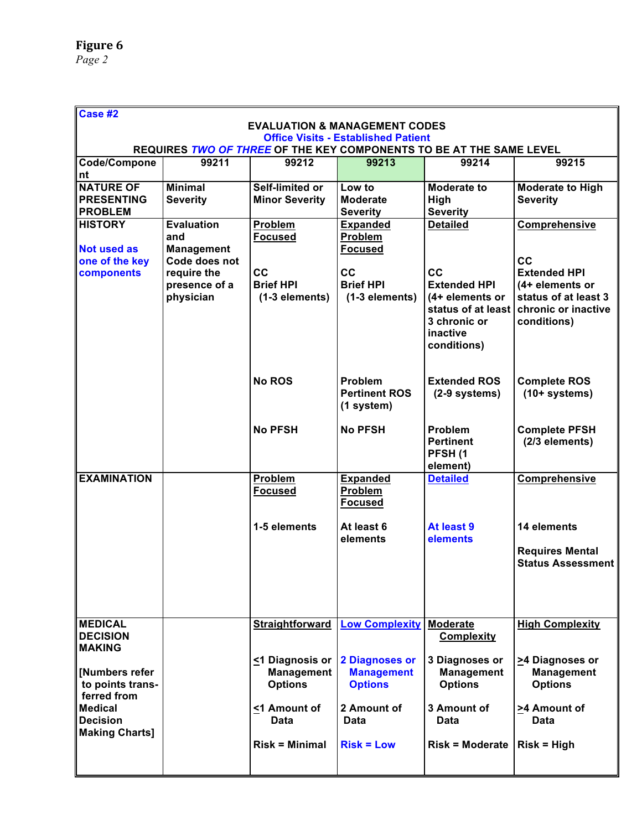|                                                                     |                                    | Case #2                                  |                                            |                                     |                                            |  |  |
|---------------------------------------------------------------------|------------------------------------|------------------------------------------|--------------------------------------------|-------------------------------------|--------------------------------------------|--|--|
|                                                                     |                                    | <b>EVALUATION &amp; MANAGEMENT CODES</b> | <b>Office Visits - Established Patient</b> |                                     |                                            |  |  |
| REQUIRES TWO OF THREE OF THE KEY COMPONENTS TO BE AT THE SAME LEVEL |                                    |                                          |                                            |                                     |                                            |  |  |
| Code/Compone                                                        | 99211                              | 99212                                    | 99213                                      | 99214                               | 99215                                      |  |  |
| nt                                                                  |                                    |                                          |                                            |                                     |                                            |  |  |
| <b>NATURE OF</b><br><b>PRESENTING</b>                               | <b>Minimal</b><br><b>Severity</b>  | Self-limited or<br><b>Minor Severity</b> | Low to<br><b>Moderate</b>                  | <b>Moderate to</b><br>High          | <b>Moderate to High</b><br><b>Severity</b> |  |  |
| <b>PROBLEM</b>                                                      |                                    |                                          | <b>Severity</b>                            | <b>Severity</b>                     |                                            |  |  |
| <b>HISTORY</b>                                                      | <b>Evaluation</b>                  | <b>Problem</b>                           | <b>Expanded</b>                            | <b>Detailed</b>                     | <b>Comprehensive</b>                       |  |  |
|                                                                     | and                                | <b>Focused</b>                           | Problem                                    |                                     |                                            |  |  |
| <b>Not used as</b>                                                  | <b>Management</b><br>Code does not |                                          | <b>Focused</b>                             |                                     | cc                                         |  |  |
| one of the key<br>components                                        | require the                        | cc                                       | cc                                         | cc                                  | <b>Extended HPI</b>                        |  |  |
|                                                                     | presence of a                      | <b>Brief HPI</b>                         | <b>Brief HPI</b>                           | <b>Extended HPI</b>                 | (4+ elements or                            |  |  |
|                                                                     | physician                          | (1-3 elements)                           | (1-3 elements)                             | (4+ elements or                     | status of at least 3                       |  |  |
|                                                                     |                                    |                                          |                                            |                                     | status of at least   chronic or inactive   |  |  |
|                                                                     |                                    |                                          |                                            | 3 chronic or<br>inactive            | conditions)                                |  |  |
|                                                                     |                                    |                                          |                                            | conditions)                         |                                            |  |  |
|                                                                     |                                    |                                          |                                            |                                     |                                            |  |  |
|                                                                     |                                    | <b>No ROS</b>                            | <b>Problem</b>                             | <b>Extended ROS</b>                 | <b>Complete ROS</b>                        |  |  |
|                                                                     |                                    |                                          | <b>Pertinent ROS</b>                       | $(2-9$ systems)                     | $(10+$ systems)                            |  |  |
|                                                                     |                                    |                                          | (1 system)                                 |                                     |                                            |  |  |
|                                                                     |                                    | <b>No PFSH</b>                           |                                            |                                     |                                            |  |  |
|                                                                     |                                    |                                          | <b>No PFSH</b>                             | <b>Problem</b><br><b>Pertinent</b>  | <b>Complete PFSH</b><br>(2/3 elements)     |  |  |
|                                                                     |                                    |                                          |                                            | PFSH(1                              |                                            |  |  |
|                                                                     |                                    |                                          |                                            | element)                            |                                            |  |  |
| <b>EXAMINATION</b>                                                  |                                    | Problem                                  | <b>Expanded</b>                            | <b>Detailed</b>                     | Comprehensive                              |  |  |
|                                                                     |                                    | <b>Focused</b>                           | Problem<br><b>Focused</b>                  |                                     |                                            |  |  |
|                                                                     |                                    |                                          |                                            |                                     |                                            |  |  |
|                                                                     |                                    | 1-5 elements                             | At least 6                                 | At least 9                          | 14 elements                                |  |  |
|                                                                     |                                    |                                          | elements                                   | elements                            | <b>Requires Mental</b>                     |  |  |
|                                                                     |                                    |                                          |                                            |                                     | <b>Status Assessment</b>                   |  |  |
|                                                                     |                                    |                                          |                                            |                                     |                                            |  |  |
|                                                                     |                                    |                                          |                                            |                                     |                                            |  |  |
|                                                                     |                                    |                                          |                                            |                                     |                                            |  |  |
| <b>MEDICAL</b>                                                      |                                    | <b>Straightforward</b>                   | <b>Low Complexity</b>                      | <b>Moderate</b>                     | <b>High Complexity</b>                     |  |  |
| <b>DECISION</b>                                                     |                                    |                                          |                                            | <b>Complexity</b>                   |                                            |  |  |
| <b>MAKING</b>                                                       |                                    | <1 Diagnosis or                          | <b>2 Diagnoses or</b>                      |                                     |                                            |  |  |
| <b>[Numbers refer</b>                                               |                                    | <b>Management</b>                        | <b>Management</b>                          | 3 Diagnoses or<br><b>Management</b> | >4 Diagnoses or<br><b>Management</b>       |  |  |
| to points trans-                                                    |                                    | <b>Options</b>                           | <b>Options</b>                             | <b>Options</b>                      | <b>Options</b>                             |  |  |
| ferred from                                                         |                                    |                                          |                                            |                                     |                                            |  |  |
| <b>Medical</b><br><b>Decision</b>                                   |                                    | <1 Amount of<br>Data                     | 2 Amount of<br>Data                        | 3 Amount of<br>Data                 | >4 Amount of<br>Data                       |  |  |
| <b>Making Charts]</b>                                               |                                    |                                          |                                            |                                     |                                            |  |  |
|                                                                     |                                    | $Risk = Minimal$                         | $Risk = Low$                               | $Risk = Moderate$                   | $Risk = High$                              |  |  |
|                                                                     |                                    |                                          |                                            |                                     |                                            |  |  |
|                                                                     |                                    |                                          |                                            |                                     |                                            |  |  |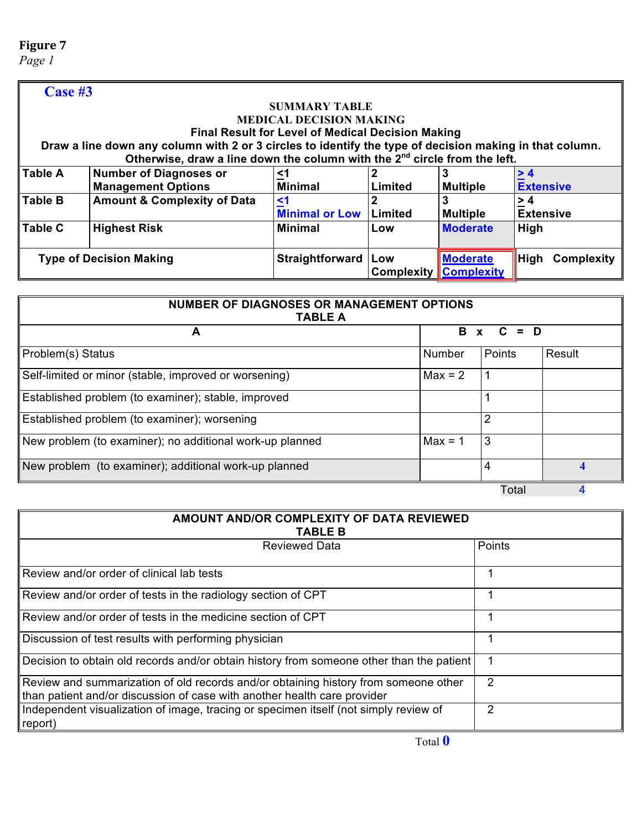*Page 1*

| <b>SUMMARY TABLE</b>                                                                                    |                       |         |                                                                                   |                                                                                                      |  |  |
|---------------------------------------------------------------------------------------------------------|-----------------------|---------|-----------------------------------------------------------------------------------|------------------------------------------------------------------------------------------------------|--|--|
|                                                                                                         |                       |         |                                                                                   |                                                                                                      |  |  |
|                                                                                                         |                       |         |                                                                                   |                                                                                                      |  |  |
| Draw a line down any column with 2 or 3 circles to identify the type of decision making in that column. |                       |         |                                                                                   |                                                                                                      |  |  |
| Otherwise, draw a line down the column with the 2 <sup>nd</sup> circle from the left.                   |                       |         |                                                                                   |                                                                                                      |  |  |
| <b>Number of Diagnoses or</b>                                                                           | <1                    |         | 3                                                                                 | > 4                                                                                                  |  |  |
| <b>Management Options</b>                                                                               | <b>Minimal</b>        | Limited | <b>Multiple</b>                                                                   | <b>Extensive</b>                                                                                     |  |  |
| <b>Amount &amp; Complexity of Data</b>                                                                  | <1                    |         | 3                                                                                 | $\geq 4$                                                                                             |  |  |
|                                                                                                         | <b>Minimal or Low</b> |         | <b>Multiple</b>                                                                   | <b>Extensive</b>                                                                                     |  |  |
| <b>Highest Risk</b>                                                                                     | <b>Minimal</b>        | Low     | <b>Moderate</b>                                                                   | High                                                                                                 |  |  |
|                                                                                                         |                       |         |                                                                                   |                                                                                                      |  |  |
| <b>Type of Decision Making</b>                                                                          |                       |         |                                                                                   | ∥High<br>Complexity                                                                                  |  |  |
|                                                                                                         |                       |         |                                                                                   |                                                                                                      |  |  |
|                                                                                                         |                       |         | <b>MEDICAL DECISION MAKING</b><br>Limited<br><b>Straightforward</b><br><b>Low</b> | <b>Final Result for Level of Medical Decision Making</b><br>Moderate<br><b>Complexity Complexity</b> |  |  |

| <b>NUMBER OF DIAGNOSES OR MANAGEMENT OPTIONS</b><br><b>TABLE A</b> |                |                |        |  |
|--------------------------------------------------------------------|----------------|----------------|--------|--|
| A                                                                  | B x C<br>$= D$ |                |        |  |
| Problem(s) Status                                                  | <b>Number</b>  | Points         | Result |  |
| Self-limited or minor (stable, improved or worsening)              | $Max = 2$      |                |        |  |
| Established problem (to examiner); stable, improved                |                |                |        |  |
| Established problem (to examiner); worsening                       |                | $\overline{2}$ |        |  |
| New problem (to examiner); no additional work-up planned           | $Max = 1$      | 3              |        |  |
| New problem (to examiner); additional work-up planned              |                | 4              |        |  |
|                                                                    |                | Total          |        |  |

| AMOUNT AND/OR COMPLEXITY OF DATA REVIEWED                                                                                                                       |        |  |  |  |
|-----------------------------------------------------------------------------------------------------------------------------------------------------------------|--------|--|--|--|
| <b>TABLE B</b>                                                                                                                                                  |        |  |  |  |
| <b>Reviewed Data</b>                                                                                                                                            | Points |  |  |  |
| Review and/or order of clinical lab tests                                                                                                                       | 1      |  |  |  |
| Review and/or order of tests in the radiology section of CPT                                                                                                    | 1      |  |  |  |
| Review and/or order of tests in the medicine section of CPT                                                                                                     |        |  |  |  |
| Discussion of test results with performing physician                                                                                                            | 1      |  |  |  |
| Decision to obtain old records and/or obtain history from someone other than the patient                                                                        |        |  |  |  |
| Review and summarization of old records and/or obtaining history from someone other<br>than patient and/or discussion of case with another health care provider | 2      |  |  |  |
| Independent visualization of image, tracing or specimen itself (not simply review of<br>report)                                                                 | 2      |  |  |  |